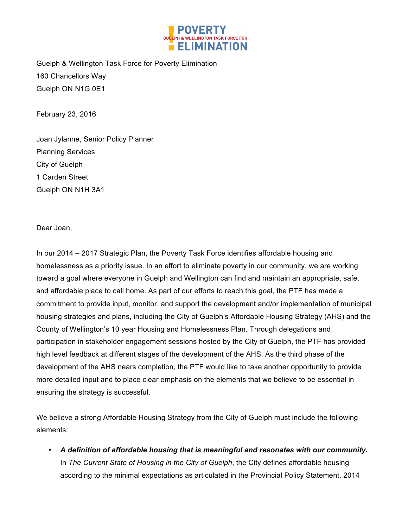

Guelph & Wellington Task Force for Poverty Elimination 160 Chancellors Way Guelph ON N1G 0E1

February 23, 2016

Joan Jylanne, Senior Policy Planner Planning Services City of Guelph 1 Carden Street Guelph ON N1H 3A1

Dear Joan,

In our 2014 – 2017 Strategic Plan, the Poverty Task Force identifies affordable housing and homelessness as a priority issue. In an effort to eliminate poverty in our community, we are working toward a goal where everyone in Guelph and Wellington can find and maintain an appropriate, safe, and affordable place to call home. As part of our efforts to reach this goal, the PTF has made a commitment to provide input, monitor, and support the development and/or implementation of municipal housing strategies and plans, including the City of Guelph's Affordable Housing Strategy (AHS) and the County of Wellington's 10 year Housing and Homelessness Plan. Through delegations and participation in stakeholder engagement sessions hosted by the City of Guelph, the PTF has provided high level feedback at different stages of the development of the AHS. As the third phase of the development of the AHS nears completion, the PTF would like to take another opportunity to provide more detailed input and to place clear emphasis on the elements that we believe to be essential in ensuring the strategy is successful.

We believe a strong Affordable Housing Strategy from the City of Guelph must include the following elements:

• *A definition of affordable housing that is meaningful and resonates with our community.*  In *The Current State of Housing in the City of Guelph*, the City defines affordable housing according to the minimal expectations as articulated in the Provincial Policy Statement, 2014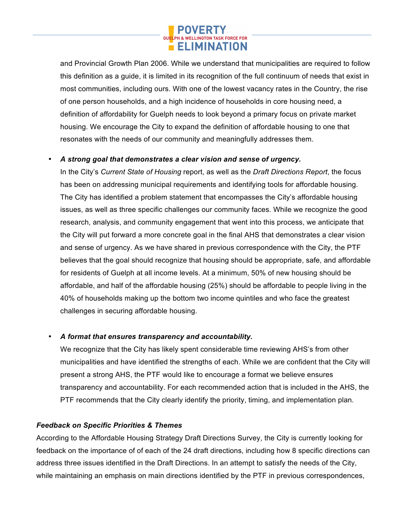

and Provincial Growth Plan 2006. While we understand that municipalities are required to follow this definition as a guide, it is limited in its recognition of the full continuum of needs that exist in most communities, including ours. With one of the lowest vacancy rates in the Country, the rise of one person households, and a high incidence of households in core housing need, a definition of affordability for Guelph needs to look beyond a primary focus on private market housing. We encourage the City to expand the definition of affordable housing to one that resonates with the needs of our community and meaningfully addresses them.

## • *A strong goal that demonstrates a clear vision and sense of urgency.*

In the City's *Current State of Housing* report, as well as the *Draft Directions Report*, the focus has been on addressing municipal requirements and identifying tools for affordable housing. The City has identified a problem statement that encompasses the City's affordable housing issues, as well as three specific challenges our community faces. While we recognize the good research, analysis, and community engagement that went into this process, we anticipate that the City will put forward a more concrete goal in the final AHS that demonstrates a clear vision and sense of urgency. As we have shared in previous correspondence with the City, the PTF believes that the goal should recognize that housing should be appropriate, safe, and affordable for residents of Guelph at all income levels. At a minimum, 50% of new housing should be affordable, and half of the affordable housing (25%) should be affordable to people living in the 40% of households making up the bottom two income quintiles and who face the greatest challenges in securing affordable housing.

## • *A format that ensures transparency and accountability.*

We recognize that the City has likely spent considerable time reviewing AHS's from other municipalities and have identified the strengths of each. While we are confident that the City will present a strong AHS, the PTF would like to encourage a format we believe ensures transparency and accountability. For each recommended action that is included in the AHS, the PTF recommends that the City clearly identify the priority, timing, and implementation plan.

# *Feedback on Specific Priorities & Themes*

According to the Affordable Housing Strategy Draft Directions Survey, the City is currently looking for feedback on the importance of of each of the 24 draft directions, including how 8 specific directions can address three issues identified in the Draft Directions. In an attempt to satisfy the needs of the City, while maintaining an emphasis on main directions identified by the PTF in previous correspondences,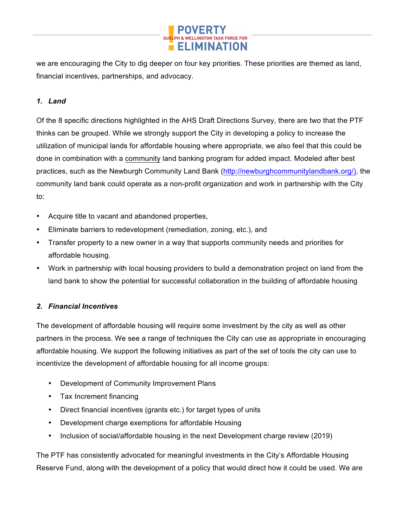

we are encouraging the City to dig deeper on four key priorities. These priorities are themed as land, financial incentives, partnerships, and advocacy.

## *1. Land*

Of the 8 specific directions highlighted in the AHS Draft Directions Survey, there are two that the PTF thinks can be grouped. While we strongly support the City in developing a policy to increase the utilization of municipal lands for affordable housing where appropriate, we also feel that this could be done in combination with a community land banking program for added impact. Modeled after best practices, such as the Newburgh Community Land Bank (http://newburghcommunitylandbank.org/), the community land bank could operate as a non-profit organization and work in partnership with the City to:

- Acquire title to vacant and abandoned properties,
- Eliminate barriers to redevelopment (remediation, zoning, etc.), and
- Transfer property to a new owner in a way that supports community needs and priorities for affordable housing.
- Work in partnership with local housing providers to build a demonstration project on land from the land bank to show the potential for successful collaboration in the building of affordable housing

## *2. Financial Incentives*

The development of affordable housing will require some investment by the city as well as other partners in the process. We see a range of techniques the City can use as appropriate in encouraging affordable housing. We support the following initiatives as part of the set of tools the city can use to incentivize the development of affordable housing for all income groups:

- Development of Community Improvement Plans
- Tax Increment financing
- Direct financial incentives (grants etc.) for target types of units
- Development charge exemptions for affordable Housing
- Inclusion of social/affordable housing in the next Development charge review (2019)

The PTF has consistently advocated for meaningful investments in the City's Affordable Housing Reserve Fund, along with the development of a policy that would direct how it could be used. We are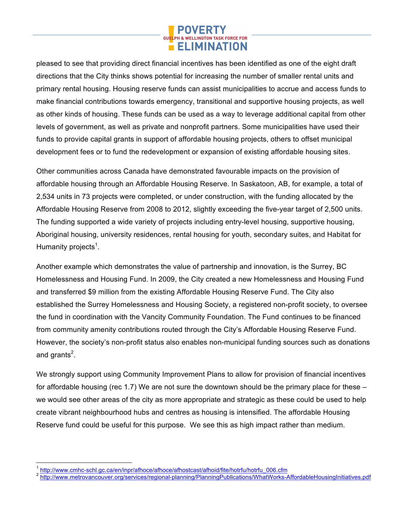

pleased to see that providing direct financial incentives has been identified as one of the eight draft directions that the City thinks shows potential for increasing the number of smaller rental units and primary rental housing. Housing reserve funds can assist municipalities to accrue and access funds to make financial contributions towards emergency, transitional and supportive housing projects, as well as other kinds of housing. These funds can be used as a way to leverage additional capital from other levels of government, as well as private and nonprofit partners. Some municipalities have used their funds to provide capital grants in support of affordable housing projects, others to offset municipal development fees or to fund the redevelopment or expansion of existing affordable housing sites.

Other communities across Canada have demonstrated favourable impacts on the provision of affordable housing through an Affordable Housing Reserve. In Saskatoon, AB, for example, a total of 2,534 units in 73 projects were completed, or under construction, with the funding allocated by the Affordable Housing Reserve from 2008 to 2012, slightly exceeding the five-year target of 2,500 units. The funding supported a wide variety of projects including entry-level housing, supportive housing, Aboriginal housing, university residences, rental housing for youth, secondary suites, and Habitat for Humanity projects<sup>1</sup>.

Another example which demonstrates the value of partnership and innovation, is the Surrey, BC Homelessness and Housing Fund. In 2009, the City created a new Homelessness and Housing Fund and transferred \$9 million from the existing Affordable Housing Reserve Fund. The City also established the Surrey Homelessness and Housing Society, a registered non-profit society, to oversee the fund in coordination with the Vancity Community Foundation. The Fund continues to be financed from community amenity contributions routed through the City's Affordable Housing Reserve Fund. However, the society's non-profit status also enables non-municipal funding sources such as donations and grants<sup>2</sup>.

We strongly support using Community Improvement Plans to allow for provision of financial incentives for affordable housing (rec 1.7) We are not sure the downtown should be the primary place for these – we would see other areas of the city as more appropriate and strategic as these could be used to help create vibrant neighbourhood hubs and centres as housing is intensified. The affordable Housing Reserve fund could be useful for this purpose. We see this as high impact rather than medium.

<sup>&</sup>lt;sup>1</sup> http://www.cmhc-schl.gc.ca/en/inpr/afhoce/afhoce/afhostcast/afhoid/fite/hotrfu/hotrfu\_006.cfm<br><sup>2</sup> http://www.metrovancouver.org/services/regional-planning/PlanningPublications/WhatWorks-AffordableHousingInitiatives.pdf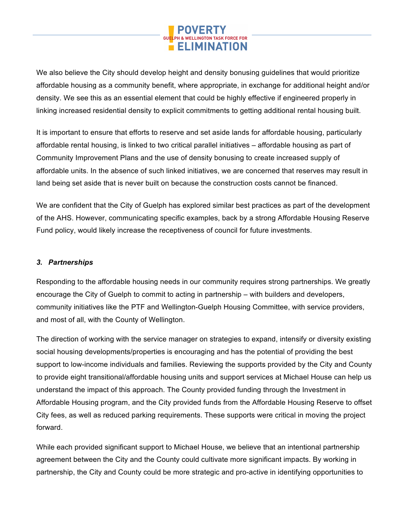

We also believe the City should develop height and density bonusing guidelines that would prioritize affordable housing as a community benefit, where appropriate, in exchange for additional height and/or density. We see this as an essential element that could be highly effective if engineered properly in linking increased residential density to explicit commitments to getting additional rental housing built.

It is important to ensure that efforts to reserve and set aside lands for affordable housing, particularly affordable rental housing, is linked to two critical parallel initiatives – affordable housing as part of Community Improvement Plans and the use of density bonusing to create increased supply of affordable units. In the absence of such linked initiatives, we are concerned that reserves may result in land being set aside that is never built on because the construction costs cannot be financed.

We are confident that the City of Guelph has explored similar best practices as part of the development of the AHS. However, communicating specific examples, back by a strong Affordable Housing Reserve Fund policy, would likely increase the receptiveness of council for future investments.

## *3. Partnerships*

Responding to the affordable housing needs in our community requires strong partnerships. We greatly encourage the City of Guelph to commit to acting in partnership – with builders and developers, community initiatives like the PTF and Wellington-Guelph Housing Committee, with service providers, and most of all, with the County of Wellington.

The direction of working with the service manager on strategies to expand, intensify or diversity existing social housing developments/properties is encouraging and has the potential of providing the best support to low-income individuals and families. Reviewing the supports provided by the City and County to provide eight transitional/affordable housing units and support services at Michael House can help us understand the impact of this approach. The County provided funding through the Investment in Affordable Housing program, and the City provided funds from the Affordable Housing Reserve to offset City fees, as well as reduced parking requirements. These supports were critical in moving the project forward.

While each provided significant support to Michael House, we believe that an intentional partnership agreement between the City and the County could cultivate more significant impacts. By working in partnership, the City and County could be more strategic and pro-active in identifying opportunities to